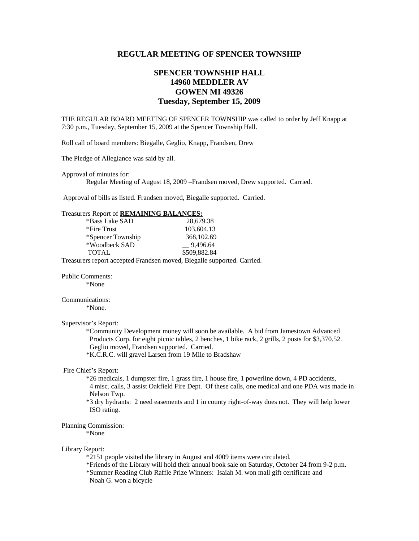# **REGULAR MEETING OF SPENCER TOWNSHIP**

# **SPENCER TOWNSHIP HALL 14960 MEDDLER AV GOWEN MI 49326 Tuesday, September 15, 2009**

THE REGULAR BOARD MEETING OF SPENCER TOWNSHIP was called to order by Jeff Knapp at 7:30 p.m., Tuesday, September 15, 2009 at the Spencer Township Hall.

Roll call of board members: Biegalle, Geglio, Knapp, Frandsen, Drew

The Pledge of Allegiance was said by all.

Approval of minutes for:

Regular Meeting of August 18, 2009 –Frandsen moved, Drew supported. Carried.

Approval of bills as listed. Frandsen moved, Biegalle supported. Carried.

## Treasurers Report of **REMAINING BALANCES:**

| *Bass Lake SAD    | 28,679.38    |
|-------------------|--------------|
| *Fire Trust       | 103,604.13   |
| *Spencer Township | 368,102.69   |
| *Woodbeck SAD     | 9,496.64     |
| <b>TOTAL</b>      | \$509,882.84 |
|                   | $\cdots$     |

Treasurers report accepted Frandsen moved, Biegalle supported. Carried.

Public Comments:

\*None

# Communications:

\*None.

# Supervisor's Report:

 \*Community Development money will soon be available. A bid from Jamestown Advanced Products Corp. for eight picnic tables, 2 benches, 1 bike rack, 2 grills, 2 posts for \$3,370.52. Geglio moved, Frandsen supported. Carried.

\*K.C.R.C. will gravel Larsen from 19 Mile to Bradshaw

### Fire Chief's Report:

 \*26 medicals, 1 dumpster fire, 1 grass fire, 1 house fire, 1 powerline down, 4 PD accidents, 4 misc. calls, 3 assist Oakfield Fire Dept. Of these calls, one medical and one PDA was made in Nelson Twp.

 \*3 dry hydrants: 2 need easements and 1 in county right-of-way does not. They will help lower ISO rating.

### Planning Commission:

.

\*None

#### Library Report:

\*2151 people visited the library in August and 4009 items were circulated.

\*Friends of the Library will hold their annual book sale on Saturday, October 24 from 9-2 p.m.

 \*Summer Reading Club Raffle Prize Winners: Isaiah M. won mall gift certificate and Noah G. won a bicycle